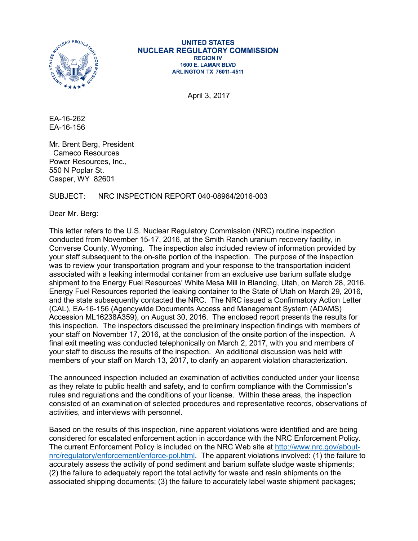

#### **UNITED STATES NUCLEAR REGULATORY COMMISSION REGION IV** 1600 E. LAMAR BLVD **ARLINGTON TX 76011-4511**

April 3, 2017

EA-16-262 EA-16-156

Mr. Brent Berg, President Cameco Resources Power Resources, Inc., 550 N Poplar St. Casper, WY 82601

### SUBJECT: NRC INSPECTION REPORT 040-08964/2016-003

Dear Mr. Berg:

This letter refers to the U.S. Nuclear Regulatory Commission (NRC) routine inspection conducted from November 15-17, 2016, at the Smith Ranch uranium recovery facility, in Converse County, Wyoming. The inspection also included review of information provided by your staff subsequent to the on-site portion of the inspection. The purpose of the inspection was to review your transportation program and your response to the transportation incident associated with a leaking intermodal container from an exclusive use barium sulfate sludge shipment to the Energy Fuel Resources' White Mesa Mill in Blanding, Utah, on March 28, 2016. Energy Fuel Resources reported the leaking container to the State of Utah on March 29, 2016, and the state subsequently contacted the NRC. The NRC issued a Confirmatory Action Letter (CAL), EA-16-156 (Agencywide Documents Access and Management System (ADAMS) Accession ML16238A359), on August 30, 2016. The enclosed report presents the results for this inspection. The inspectors discussed the preliminary inspection findings with members of your staff on November 17, 2016, at the conclusion of the onsite portion of the inspection. A final exit meeting was conducted telephonically on March 2, 2017, with you and members of your staff to discuss the results of the inspection. An additional discussion was held with members of your staff on March 13, 2017, to clarify an apparent violation characterization.

The announced inspection included an examination of activities conducted under your license as they relate to public health and safety, and to confirm compliance with the Commission's rules and regulations and the conditions of your license. Within these areas, the inspection consisted of an examination of selected procedures and representative records, observations of activities, and interviews with personnel.

Based on the results of this inspection, nine apparent violations were identified and are being considered for escalated enforcement action in accordance with the NRC Enforcement Policy. The current Enforcement Policy is included on the NRC Web site at [http://www.nrc.gov/about](http://www.nrc.gov/about-nrc/regulatory/enforcement/enforce-pol.html)[nrc/regulatory/enforcement/enforce-pol.html.](http://www.nrc.gov/about-nrc/regulatory/enforcement/enforce-pol.html) The apparent violations involved: (1) the failure to accurately assess the activity of pond sediment and barium sulfate sludge waste shipments; (2) the failure to adequately report the total activity for waste and resin shipments on the associated shipping documents; (3) the failure to accurately label waste shipment packages;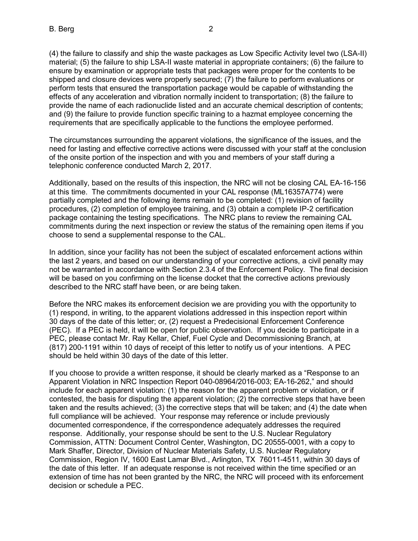(4) the failure to classify and ship the waste packages as Low Specific Activity level two (LSA-II) material; (5) the failure to ship LSA-II waste material in appropriate containers; (6) the failure to ensure by examination or appropriate tests that packages were proper for the contents to be shipped and closure devices were properly secured; (7) the failure to perform evaluations or perform tests that ensured the transportation package would be capable of withstanding the effects of any acceleration and vibration normally incident to transportation; (8) the failure to provide the name of each radionuclide listed and an accurate chemical description of contents; and (9) the failure to provide function specific training to a hazmat employee concerning the requirements that are specifically applicable to the functions the employee performed.

The circumstances surrounding the apparent violations, the significance of the issues, and the need for lasting and effective corrective actions were discussed with your staff at the conclusion of the onsite portion of the inspection and with you and members of your staff during a telephonic conference conducted March 2, 2017.

Additionally, based on the results of this inspection, the NRC will not be closing CAL EA-16-156 at this time. The commitments documented in your CAL response (ML16357A774) were partially completed and the following items remain to be completed: (1) revision of facility procedures, (2) completion of employee training, and (3) obtain a complete IP-2 certification package containing the testing specifications. The NRC plans to review the remaining CAL commitments during the next inspection or review the status of the remaining open items if you choose to send a supplemental response to the CAL.

In addition, since your facility has not been the subject of escalated enforcement actions within the last 2 years, and based on our understanding of your corrective actions, a civil penalty may not be warranted in accordance with Section 2.3.4 of the Enforcement Policy. The final decision will be based on you confirming on the license docket that the corrective actions previously described to the NRC staff have been, or are being taken.

Before the NRC makes its enforcement decision we are providing you with the opportunity to (1) respond, in writing, to the apparent violations addressed in this inspection report within 30 days of the date of this letter; or, (2) request a Predecisional Enforcement Conference (PEC). If a PEC is held, it will be open for public observation. If you decide to participate in a PEC, please contact Mr. Ray Kellar, Chief, Fuel Cycle and Decommissioning Branch, at (817) 200-1191 within 10 days of receipt of this letter to notify us of your intentions. A PEC should be held within 30 days of the date of this letter.

If you choose to provide a written response, it should be clearly marked as a "Response to an Apparent Violation in NRC Inspection Report 040-08964/2016-003; EA-16-262," and should include for each apparent violation: (1) the reason for the apparent problem or violation, or if contested, the basis for disputing the apparent violation; (2) the corrective steps that have been taken and the results achieved; (3) the corrective steps that will be taken; and (4) the date when full compliance will be achieved. Your response may reference or include previously documented correspondence, if the correspondence adequately addresses the required response. Additionally, your response should be sent to the U.S. Nuclear Regulatory Commission, ATTN: Document Control Center, Washington, DC 20555-0001, with a copy to Mark Shaffer, Director, Division of Nuclear Materials Safety, U.S. Nuclear Regulatory Commission, Region IV, 1600 East Lamar Blvd., Arlington, TX 76011-4511, within 30 days of the date of this letter. If an adequate response is not received within the time specified or an extension of time has not been granted by the NRC, the NRC will proceed with its enforcement decision or schedule a PEC.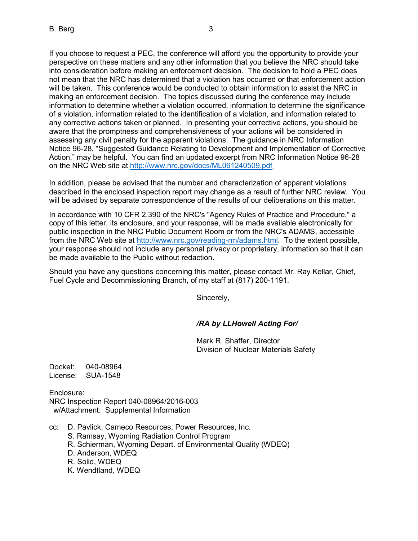If you choose to request a PEC, the conference will afford you the opportunity to provide your perspective on these matters and any other information that you believe the NRC should take into consideration before making an enforcement decision. The decision to hold a PEC does not mean that the NRC has determined that a violation has occurred or that enforcement action will be taken. This conference would be conducted to obtain information to assist the NRC in making an enforcement decision. The topics discussed during the conference may include information to determine whether a violation occurred, information to determine the significance of a violation, information related to the identification of a violation, and information related to any corrective actions taken or planned. In presenting your corrective actions, you should be aware that the promptness and comprehensiveness of your actions will be considered in assessing any civil penalty for the apparent violations. The guidance in NRC Information Notice 96-28, "Suggested Guidance Relating to Development and Implementation of Corrective Action," may be helpful. You can find an updated excerpt from NRC Information Notice 96-28 on the NRC Web site at [http://www.nrc.gov/docs/ML061240509.pdf.](http://www.nrc.gov/docs/ML061240509.pdf)

In addition, please be advised that the number and characterization of apparent violations described in the enclosed inspection report may change as a result of further NRC review. You will be advised by separate correspondence of the results of our deliberations on this matter.

In accordance with 10 CFR 2.390 of the NRC's "Agency Rules of Practice and Procedure," a copy of this letter, its enclosure, and your response, will be made available electronically for public inspection in the NRC Public Document Room or from the NRC's ADAMS, accessible from the NRC Web site at [http://www.nrc.gov/reading-rm/adams.html.](http://www.nrc.gov/reading-rm/adams.html) To the extent possible, your response should not include any personal privacy or proprietary, information so that it can be made available to the Public without redaction.

Should you have any questions concerning this matter, please contact Mr. Ray Kellar, Chief, Fuel Cycle and Decommissioning Branch, of my staff at (817) 200-1191.

Sincerely,

### */RA by LLHowell Acting For/*

Mark R. Shaffer, Director Division of Nuclear Materials Safety

Docket: 040-08964 License: SUA-1548

Enclosure: NRC Inspection Report 040-08964/2016-003 w/Attachment: Supplemental Information

- cc: D. Pavlick, Cameco Resources, Power Resources, Inc.
	- S. Ramsay, Wyoming Radiation Control Program
	- R. Schierman, Wyoming Depart. of Environmental Quality (WDEQ)
	- D. Anderson, WDEQ
	- R. Solid, WDEQ
	- K. Wendtland, WDEQ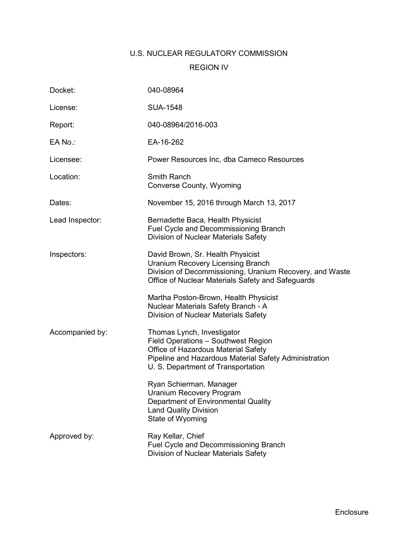# U.S. NUCLEAR REGULATORY COMMISSION REGION IV

| Docket:         | 040-08964                                                                                                                                                                                               |  |
|-----------------|---------------------------------------------------------------------------------------------------------------------------------------------------------------------------------------------------------|--|
| License:        | <b>SUA-1548</b>                                                                                                                                                                                         |  |
| Report:         | 040-08964/2016-003                                                                                                                                                                                      |  |
| EA No.:         | EA-16-262                                                                                                                                                                                               |  |
| Licensee:       | Power Resources Inc, dba Cameco Resources                                                                                                                                                               |  |
| Location:       | Smith Ranch<br>Converse County, Wyoming                                                                                                                                                                 |  |
| Dates:          | November 15, 2016 through March 13, 2017                                                                                                                                                                |  |
| Lead Inspector: | Bernadette Baca, Health Physicist<br>Fuel Cycle and Decommissioning Branch<br>Division of Nuclear Materials Safety                                                                                      |  |
| Inspectors:     | David Brown, Sr. Health Physicist<br><b>Uranium Recovery Licensing Branch</b><br>Division of Decommissioning, Uranium Recovery, and Waste<br>Office of Nuclear Materials Safety and Safeguards          |  |
|                 | Martha Poston-Brown, Health Physicist<br>Nuclear Materials Safety Branch - A<br>Division of Nuclear Materials Safety                                                                                    |  |
| Accompanied by: | Thomas Lynch, Investigator<br>Field Operations - Southwest Region<br>Office of Hazardous Material Safety<br>Pipeline and Hazardous Material Safety Administration<br>U. S. Department of Transportation |  |
|                 | Ryan Schierman, Manager<br><b>Uranium Recovery Program</b><br>Department of Environmental Quality<br><b>Land Quality Division</b><br>State of Wyoming                                                   |  |
| Approved by:    | Ray Kellar, Chief<br>Fuel Cycle and Decommissioning Branch<br>Division of Nuclear Materials Safety                                                                                                      |  |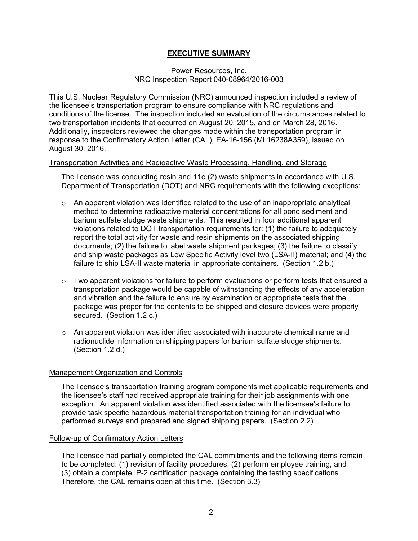### **EXECUTIVE SUMMARY**

### Power Resources, Inc. NRC Inspection Report 040-08964/2016-003

This U.S. Nuclear Regulatory Commission (NRC) announced inspection included a review of the licensee's transportation program to ensure compliance with NRC regulations and conditions of the license. The inspection included an evaluation of the circumstances related to two transportation incidents that occurred on August 20, 2015, and on March 28, 2016. Additionally, inspectors reviewed the changes made within the transportation program in response to the Confirmatory Action Letter (CAL), EA-16-156 (ML16238A359), issued on August 30, 2016.

#### Transportation Activities and Radioactive Waste Processing, Handling, and Storage

The licensee was conducting resin and 11e.(2) waste shipments in accordance with U.S. Department of Transportation (DOT) and NRC requirements with the following exceptions:

- $\circ$  An apparent violation was identified related to the use of an inappropriate analytical method to determine radioactive material concentrations for all pond sediment and barium sulfate sludge waste shipments. This resulted in four additional apparent violations related to DOT transportation requirements for: (1) the failure to adequately report the total activity for waste and resin shipments on the associated shipping documents; (2) the failure to label waste shipment packages; (3) the failure to classify and ship waste packages as Low Specific Activity level two (LSA-II) material; and (4) the failure to ship LSA-II waste material in appropriate containers. (Section 1.2 b.)
- $\circ$  Two apparent violations for failure to perform evaluations or perform tests that ensured a transportation package would be capable of withstanding the effects of any acceleration and vibration and the failure to ensure by examination or appropriate tests that the package was proper for the contents to be shipped and closure devices were properly secured. (Section 1.2 c.)
- $\circ$  An apparent violation was identified associated with inaccurate chemical name and radionuclide information on shipping papers for barium sulfate sludge shipments. (Section 1.2 d.)

### Management Organization and Controls

The licensee's transportation training program components met applicable requirements and the licensee's staff had received appropriate training for their job assignments with one exception. An apparent violation was identified associated with the licensee's failure to provide task specific hazardous material transportation training for an individual who performed surveys and prepared and signed shipping papers. (Section 2.2)

#### Follow-up of Confirmatory Action Letters

The licensee had partially completed the CAL commitments and the following items remain to be completed: (1) revision of facility procedures, (2) perform employee training, and (3) obtain a complete IP-2 certification package containing the testing specifications. Therefore, the CAL remains open at this time. (Section 3.3)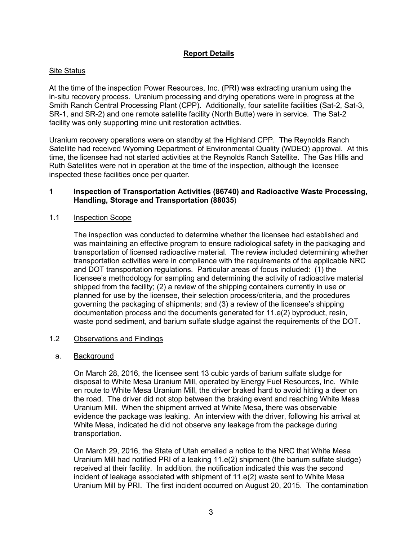### **Report Details**

### Site Status

At the time of the inspection Power Resources, Inc. (PRI) was extracting uranium using the in-situ recovery process. Uranium processing and drying operations were in progress at the Smith Ranch Central Processing Plant (CPP). Additionally, four satellite facilities (Sat-2, Sat-3, SR-1, and SR-2) and one remote satellite facility (North Butte) were in service. The Sat-2 facility was only supporting mine unit restoration activities.

Uranium recovery operations were on standby at the Highland CPP. The Reynolds Ranch Satellite had received Wyoming Department of Environmental Quality (WDEQ) approval. At this time, the licensee had not started activities at the Reynolds Ranch Satellite. The Gas Hills and Ruth Satellites were not in operation at the time of the inspection, although the licensee inspected these facilities once per quarter.

### **1 Inspection of Transportation Activities (86740) and Radioactive Waste Processing, Handling, Storage and Transportation (88035**)

### 1.1 Inspection Scope

The inspection was conducted to determine whether the licensee had established and was maintaining an effective program to ensure radiological safety in the packaging and transportation of licensed radioactive material. The review included determining whether transportation activities were in compliance with the requirements of the applicable NRC and DOT transportation regulations. Particular areas of focus included: (1) the licensee's methodology for sampling and determining the activity of radioactive material shipped from the facility; (2) a review of the shipping containers currently in use or planned for use by the licensee, their selection process/criteria, and the procedures governing the packaging of shipments; and (3) a review of the licensee's shipping documentation process and the documents generated for 11.e(2) byproduct, resin, waste pond sediment, and barium sulfate sludge against the requirements of the DOT.

#### 1.2 Observations and Findings

#### a. Background

On March 28, 2016, the licensee sent 13 cubic yards of barium sulfate sludge for disposal to White Mesa Uranium Mill, operated by Energy Fuel Resources, Inc. While en route to White Mesa Uranium Mill, the driver braked hard to avoid hitting a deer on the road. The driver did not stop between the braking event and reaching White Mesa Uranium Mill. When the shipment arrived at White Mesa, there was observable evidence the package was leaking. An interview with the driver, following his arrival at White Mesa, indicated he did not observe any leakage from the package during transportation.

On March 29, 2016, the State of Utah emailed a notice to the NRC that White Mesa Uranium Mill had notified PRI of a leaking 11.e(2) shipment (the barium sulfate sludge) received at their facility. In addition, the notification indicated this was the second incident of leakage associated with shipment of 11.e(2) waste sent to White Mesa Uranium Mill by PRI. The first incident occurred on August 20, 2015. The contamination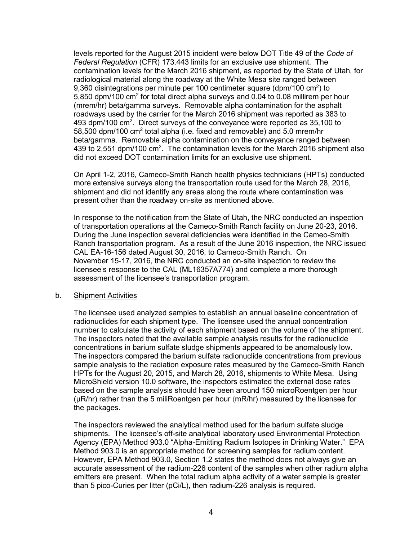levels reported for the August 2015 incident were below DOT Title 49 of the *Code of Federal Regulation* (CFR) 173.443 limits for an exclusive use shipment. The contamination levels for the March 2016 shipment, as reported by the State of Utah, for radiological material along the roadway at the White Mesa site ranged between 9,360 disintegrations per minute per 100 centimeter square (dpm/100 cm<sup>2</sup>) to 5,850 dpm/100 cm2 for total direct alpha surveys and 0.04 to 0.08 millirem per hour (mrem/hr) beta/gamma surveys. Removable alpha contamination for the asphalt roadways used by the carrier for the March 2016 shipment was reported as 383 to 493 dpm/100 cm<sup>2</sup>. Direct surveys of the conveyance were reported as 35,100 to 58,500 dpm/100 cm<sup>2</sup> total alpha (i.e. fixed and removable) and 5.0 mrem/hr beta/gamma. Removable alpha contamination on the conveyance ranged between 439 to 2,551 dpm/100 cm<sup>2</sup>. The contamination levels for the March 2016 shipment also did not exceed DOT contamination limits for an exclusive use shipment.

On April 1-2, 2016, Cameco-Smith Ranch health physics technicians (HPTs) conducted more extensive surveys along the transportation route used for the March 28, 2016, shipment and did not identify any areas along the route where contamination was present other than the roadway on-site as mentioned above.

In response to the notification from the State of Utah, the NRC conducted an inspection of transportation operations at the Cameco-Smith Ranch facility on June 20-23, 2016. During the June inspection several deficiencies were identified in the Cameo-Smith Ranch transportation program. As a result of the June 2016 inspection, the NRC issued CAL EA-16-156 dated August 30, 2016, to Cameco-Smith Ranch. On November 15-17, 2016, the NRC conducted an on-site inspection to review the licensee's response to the CAL (ML16357A774) and complete a more thorough assessment of the licensee's transportation program.

#### b. Shipment Activities

The licensee used analyzed samples to establish an annual baseline concentration of radionuclides for each shipment type. The licensee used the annual concentration number to calculate the activity of each shipment based on the volume of the shipment. The inspectors noted that the available sample analysis results for the radionuclide concentrations in barium sulfate sludge shipments appeared to be anomalously low. The inspectors compared the barium sulfate radionuclide concentrations from previous sample analysis to the radiation exposure rates measured by the Cameco-Smith Ranch HPTs for the August 20, 2015, and March 28, 2016, shipments to White Mesa. Using MicroShield version 10.0 software, the inspectors estimated the external dose rates based on the sample analysis should have been around 150 microRoentgen per hour (µR/hr) rather than the 5 miliRoentgen per hour (mR/hr) measured by the licensee for the packages.

The inspectors reviewed the analytical method used for the barium sulfate sludge shipments. The licensee's off-site analytical laboratory used Environmental Protection Agency (EPA) Method 903.0 "Alpha-Emitting Radium Isotopes in Drinking Water." EPA Method 903.0 is an appropriate method for screening samples for radium content. However, EPA Method 903.0, Section 1.2 states the method does not always give an accurate assessment of the radium-226 content of the samples when other radium alpha emitters are present. When the total radium alpha activity of a water sample is greater than 5 pico-Curies per litter (pCi/L), then radium-226 analysis is required.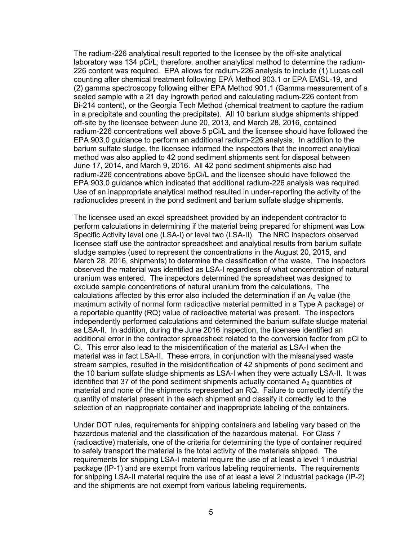The radium-226 analytical result reported to the licensee by the off-site analytical laboratory was 134 pCi/L; therefore, another analytical method to determine the radium-226 content was required. EPA allows for radium-226 analysis to include (1) Lucas cell counting after chemical treatment following EPA Method 903.1 or EPA EMSL-19, and (2) gamma spectroscopy following either EPA Method 901.1 (Gamma measurement of a sealed sample with a 21 day ingrowth period and calculating radium-226 content from Bi-214 content), or the Georgia Tech Method (chemical treatment to capture the radium in a precipitate and counting the precipitate). All 10 barium sludge shipments shipped off-site by the licensee between June 20, 2013, and March 28, 2016, contained radium-226 concentrations well above 5 pCi/L and the licensee should have followed the EPA 903.0 guidance to perform an additional radium-226 analysis. In addition to the barium sulfate sludge, the licensee informed the inspectors that the incorrect analytical method was also applied to 42 pond sediment shipments sent for disposal between June 17, 2014, and March 9, 2016. All 42 pond sediment shipments also had radium-226 concentrations above 5pCi/L and the licensee should have followed the EPA 903.0 guidance which indicated that additional radium-226 analysis was required. Use of an inappropriate analytical method resulted in under-reporting the activity of the radionuclides present in the pond sediment and barium sulfate sludge shipments.

The licensee used an excel spreadsheet provided by an independent contractor to perform calculations in determining if the material being prepared for shipment was Low Specific Activity level one (LSA-I) or level two (LSA-II). The NRC inspectors observed licensee staff use the contractor spreadsheet and analytical results from barium sulfate sludge samples (used to represent the concentrations in the August 20, 2015, and March 28, 2016, shipments) to determine the classification of the waste. The inspectors observed the material was identified as LSA-I regardless of what concentration of natural uranium was entered. The inspectors determined the spreadsheet was designed to exclude sample concentrations of natural uranium from the calculations. The calculations affected by this error also included the determination if an  $A<sub>2</sub>$  value (the maximum activity of normal form radioactive material permitted in a Type A package) or a reportable quantity (RQ) value of radioactive material was present. The inspectors independently performed calculations and determined the barium sulfate sludge material as LSA-II. In addition, during the June 2016 inspection, the licensee identified an additional error in the contractor spreadsheet related to the conversion factor from pCi to Ci. This error also lead to the misidentification of the material as LSA-I when the material was in fact LSA-II. These errors, in conjunction with the misanalysed waste stream samples, resulted in the misidentification of 42 shipments of pond sediment and the 10 barium sulfate sludge shipments as LSA-I when they were actually LSA-II. It was identified that 37 of the pond sediment shipments actually contained  $A_2$  quantities of material and none of the shipments represented an RQ. Failure to correctly identify the quantity of material present in the each shipment and classify it correctly led to the selection of an inappropriate container and inappropriate labeling of the containers.

Under DOT rules, requirements for shipping containers and labeling vary based on the hazardous material and the classification of the hazardous material. For Class 7 (radioactive) materials, one of the criteria for determining the type of container required to safely transport the material is the total activity of the materials shipped. The requirements for shipping LSA-I material require the use of at least a level 1 industrial package (IP-1) and are exempt from various labeling requirements. The requirements for shipping LSA-II material require the use of at least a level 2 industrial package (IP-2) and the shipments are not exempt from various labeling requirements.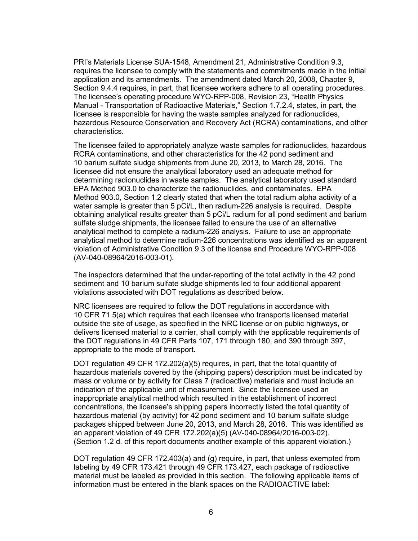PRI's Materials License SUA-1548, Amendment 21, Administrative Condition 9.3, requires the licensee to comply with the statements and commitments made in the initial application and its amendments. The amendment dated March 20, 2008, Chapter 9, Section 9.4.4 requires, in part, that licensee workers adhere to all operating procedures. The licensee's operating procedure WYO-RPP-008, Revision 23, "Health Physics Manual - Transportation of Radioactive Materials," Section 1.7.2.4, states, in part, the licensee is responsible for having the waste samples analyzed for radionuclides, hazardous Resource Conservation and Recovery Act (RCRA) contaminations, and other characteristics.

The licensee failed to appropriately analyze waste samples for radionuclides, hazardous RCRA contaminations, and other characteristics for the 42 pond sediment and 10 barium sulfate sludge shipments from June 20, 2013, to March 28, 2016. The licensee did not ensure the analytical laboratory used an adequate method for determining radionuclides in waste samples. The analytical laboratory used standard EPA Method 903.0 to characterize the radionuclides, and contaminates. EPA Method 903.0, Section 1.2 clearly stated that when the total radium alpha activity of a water sample is greater than 5 pCi/L, then radium-226 analysis is required. Despite obtaining analytical results greater than 5 pCi/L radium for all pond sediment and barium sulfate sludge shipments, the licensee failed to ensure the use of an alternative analytical method to complete a radium-226 analysis. Failure to use an appropriate analytical method to determine radium-226 concentrations was identified as an apparent violation of Administrative Condition 9.3 of the license and Procedure WYO-RPP-008 (AV-040-08964/2016-003-01).

The inspectors determined that the under-reporting of the total activity in the 42 pond sediment and 10 barium sulfate sludge shipments led to four additional apparent violations associated with DOT regulations as described below.

NRC licensees are required to follow the DOT regulations in accordance with 10 CFR 71.5(a) which requires that each licensee who transports licensed material outside the site of usage, as specified in the NRC license or on public highways, or delivers licensed material to a carrier, shall comply with the applicable requirements of the DOT regulations in 49 CFR Parts 107, 171 through 180, and 390 through 397, appropriate to the mode of transport.

DOT regulation 49 CFR 172.202(a)(5) requires, in part, that the total quantity of hazardous materials covered by the (shipping papers) description must be indicated by mass or volume or by activity for Class 7 (radioactive) materials and must include an indication of the applicable unit of measurement. Since the licensee used an inappropriate analytical method which resulted in the establishment of incorrect concentrations, the licensee's shipping papers incorrectly listed the total quantity of hazardous material (by activity) for 42 pond sediment and 10 barium sulfate sludge packages shipped between June 20, 2013, and March 28, 2016. This was identified as an apparent violation of 49 CFR 172.202(a)(5) (AV-040-08964/2016-003-02). (Section 1.2 d. of this report documents another example of this apparent violation.)

DOT regulation 49 CFR 172.403(a) and (g) require, in part, that unless exempted from labeling by 49 CFR 173.421 through 49 CFR 173.427, each package of radioactive material must be labeled as provided in this section. The following applicable items of information must be entered in the blank spaces on the RADIOACTIVE label: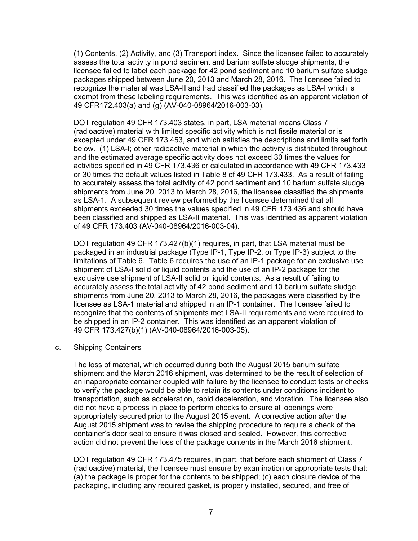(1) Contents, (2) Activity, and (3) Transport index. Since the licensee failed to accurately assess the total activity in pond sediment and barium sulfate sludge shipments, the licensee failed to label each package for 42 pond sediment and 10 barium sulfate sludge packages shipped between June 20, 2013 and March 28, 2016. The licensee failed to recognize the material was LSA-II and had classified the packages as LSA-I which is exempt from these labeling requirements. This was identified as an apparent violation of 49 CFR172.403(a) and (g) (AV-040-08964/2016-003-03).

DOT regulation 49 CFR 173.403 states, in part, LSA material means Class 7 (radioactive) material with limited specific activity which is not fissile material or is excepted under 49 CFR 173.453, and which satisfies the descriptions and limits set forth below. (1) LSA-I; other radioactive material in which the activity is distributed throughout and the estimated average specific activity does not exceed 30 times the values for activities specified in 49 CFR 173.436 or calculated in accordance with 49 CFR 173.433 or 30 times the default values listed in Table 8 of 49 CFR 173.433. As a result of failing to accurately assess the total activity of 42 pond sediment and 10 barium sulfate sludge shipments from June 20, 2013 to March 28, 2016, the licensee classified the shipments as LSA-1. A subsequent review performed by the licensee determined that all shipments exceeded 30 times the values specified in 49 CFR 173.436 and should have been classified and shipped as LSA-II material. This was identified as apparent violation of 49 CFR 173.403 (AV-040-08964/2016-003-04).

DOT regulation 49 CFR 173.427(b)(1) requires, in part, that LSA material must be packaged in an industrial package (Type IP-1, Type IP-2, or Type IP-3) subject to the limitations of Table 6. Table 6 requires the use of an IP-1 package for an exclusive use shipment of LSA-I solid or liquid contents and the use of an IP-2 package for the exclusive use shipment of LSA-II solid or liquid contents. As a result of failing to accurately assess the total activity of 42 pond sediment and 10 barium sulfate sludge shipments from June 20, 2013 to March 28, 2016, the packages were classified by the licensee as LSA-1 material and shipped in an IP-1 container. The licensee failed to recognize that the contents of shipments met LSA-II requirements and were required to be shipped in an IP-2 container. This was identified as an apparent violation of 49 CFR 173.427(b)(1) (AV-040-08964/2016-003-05).

#### c. Shipping Containers

The loss of material, which occurred during both the August 2015 barium sulfate shipment and the March 2016 shipment, was determined to be the result of selection of an inappropriate container coupled with failure by the licensee to conduct tests or checks to verify the package would be able to retain its contents under conditions incident to transportation, such as acceleration, rapid deceleration, and vibration. The licensee also did not have a process in place to perform checks to ensure all openings were appropriately secured prior to the August 2015 event. A corrective action after the August 2015 shipment was to revise the shipping procedure to require a check of the container's door seal to ensure it was closed and sealed. However, this corrective action did not prevent the loss of the package contents in the March 2016 shipment.

DOT regulation 49 CFR 173.475 requires, in part, that before each shipment of Class 7 (radioactive) material, the licensee must ensure by examination or appropriate tests that: (a) the package is proper for the contents to be shipped; (c) each closure device of the packaging, including any required gasket, is properly installed, secured, and free of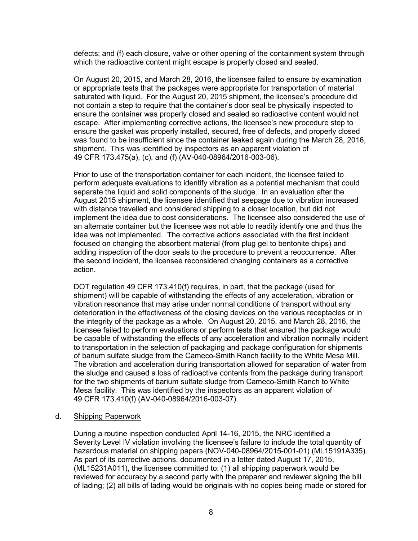defects; and (f) each closure, valve or other opening of the containment system through which the radioactive content might escape is properly closed and sealed.

On August 20, 2015, and March 28, 2016, the licensee failed to ensure by examination or appropriate tests that the packages were appropriate for transportation of material saturated with liquid. For the August 20, 2015 shipment, the licensee's procedure did not contain a step to require that the container's door seal be physically inspected to ensure the container was properly closed and sealed so radioactive content would not escape. After implementing corrective actions, the licensee's new procedure step to ensure the gasket was properly installed, secured, free of defects, and properly closed was found to be insufficient since the container leaked again during the March 28, 2016, shipment. This was identified by inspectors as an apparent violation of 49 CFR 173.475(a), (c), and (f) (AV-040-08964/2016-003-06).

Prior to use of the transportation container for each incident, the licensee failed to perform adequate evaluations to identify vibration as a potential mechanism that could separate the liquid and solid components of the sludge. In an evaluation after the August 2015 shipment, the licensee identified that seepage due to vibration increased with distance travelled and considered shipping to a closer location, but did not implement the idea due to cost considerations. The licensee also considered the use of an alternate container but the licensee was not able to readily identify one and thus the idea was not implemented. The corrective actions associated with the first incident focused on changing the absorbent material (from plug gel to bentonite chips) and adding inspection of the door seals to the procedure to prevent a reoccurrence. After the second incident, the licensee reconsidered changing containers as a corrective action.

DOT regulation 49 CFR 173.410(f) requires, in part, that the package (used for shipment) will be capable of withstanding the effects of any acceleration, vibration or vibration resonance that may arise under normal conditions of transport without any deterioration in the effectiveness of the closing devices on the various receptacles or in the integrity of the package as a whole. On August 20, 2015, and March 28, 2016, the licensee failed to perform evaluations or perform tests that ensured the package would be capable of withstanding the effects of any acceleration and vibration normally incident to transportation in the selection of packaging and package configuration for shipments of barium sulfate sludge from the Cameco-Smith Ranch facility to the White Mesa Mill. The vibration and acceleration during transportation allowed for separation of water from the sludge and caused a loss of radioactive contents from the package during transport for the two shipments of barium sulfate sludge from Cameco-Smith Ranch to White Mesa facility. This was identified by the inspectors as an apparent violation of 49 CFR 173.410(f) (AV-040-08964/2016-003-07).

#### d. Shipping Paperwork

During a routine inspection conducted April 14-16, 2015, the NRC identified a Severity Level IV violation involving the licensee's failure to include the total quantity of hazardous material on shipping papers (NOV-040-08964/2015-001-01) (ML15191A335). As part of its corrective actions, documented in a letter dated August 17, 2015, (ML15231A011), the licensee committed to: (1) all shipping paperwork would be reviewed for accuracy by a second party with the preparer and reviewer signing the bill of lading; (2) all bills of lading would be originals with no copies being made or stored for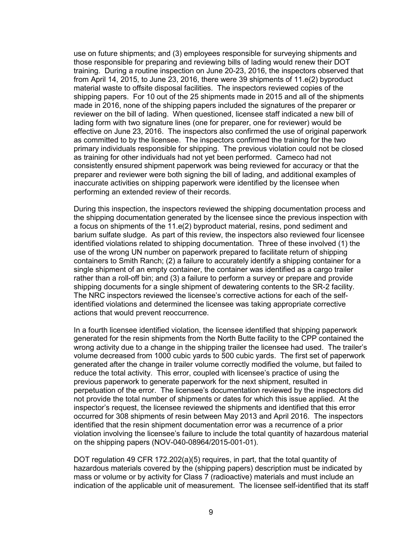use on future shipments; and (3) employees responsible for surveying shipments and those responsible for preparing and reviewing bills of lading would renew their DOT training. During a routine inspection on June 20-23, 2016, the inspectors observed that from April 14, 2015, to June 23, 2016, there were 39 shipments of 11.e(2) byproduct material waste to offsite disposal facilities. The inspectors reviewed copies of the shipping papers. For 10 out of the 25 shipments made in 2015 and all of the shipments made in 2016, none of the shipping papers included the signatures of the preparer or reviewer on the bill of lading. When questioned, licensee staff indicated a new bill of lading form with two signature lines (one for preparer, one for reviewer) would be effective on June 23, 2016. The inspectors also confirmed the use of original paperwork as committed to by the licensee. The inspectors confirmed the training for the two primary individuals responsible for shipping. The previous violation could not be closed as training for other individuals had not yet been performed. Cameco had not consistently ensured shipment paperwork was being reviewed for accuracy or that the preparer and reviewer were both signing the bill of lading, and additional examples of inaccurate activities on shipping paperwork were identified by the licensee when performing an extended review of their records.

During this inspection, the inspectors reviewed the shipping documentation process and the shipping documentation generated by the licensee since the previous inspection with a focus on shipments of the 11.e(2) byproduct material, resins, pond sediment and barium sulfate sludge. As part of this review, the inspectors also reviewed four licensee identified violations related to shipping documentation. Three of these involved (1) the use of the wrong UN number on paperwork prepared to facilitate return of shipping containers to Smith Ranch; (2) a failure to accurately identify a shipping container for a single shipment of an empty container, the container was identified as a cargo trailer rather than a roll-off bin; and (3) a failure to perform a survey or prepare and provide shipping documents for a single shipment of dewatering contents to the SR-2 facility. The NRC inspectors reviewed the licensee's corrective actions for each of the selfidentified violations and determined the licensee was taking appropriate corrective actions that would prevent reoccurrence.

In a fourth licensee identified violation, the licensee identified that shipping paperwork generated for the resin shipments from the North Butte facility to the CPP contained the wrong activity due to a change in the shipping trailer the licensee had used. The trailer's volume decreased from 1000 cubic yards to 500 cubic yards. The first set of paperwork generated after the change in trailer volume correctly modified the volume, but failed to reduce the total activity. This error, coupled with licensee's practice of using the previous paperwork to generate paperwork for the next shipment, resulted in perpetuation of the error. The licensee's documentation reviewed by the inspectors did not provide the total number of shipments or dates for which this issue applied. At the inspector's request, the licensee reviewed the shipments and identified that this error occurred for 308 shipments of resin between May 2013 and April 2016. The inspectors identified that the resin shipment documentation error was a recurrence of a prior violation involving the licensee's failure to include the total quantity of hazardous material on the shipping papers (NOV-040-08964/2015-001-01).

DOT regulation 49 CFR 172.202(a)(5) requires, in part, that the total quantity of hazardous materials covered by the (shipping papers) description must be indicated by mass or volume or by activity for Class 7 (radioactive) materials and must include an indication of the applicable unit of measurement. The licensee self-identified that its staff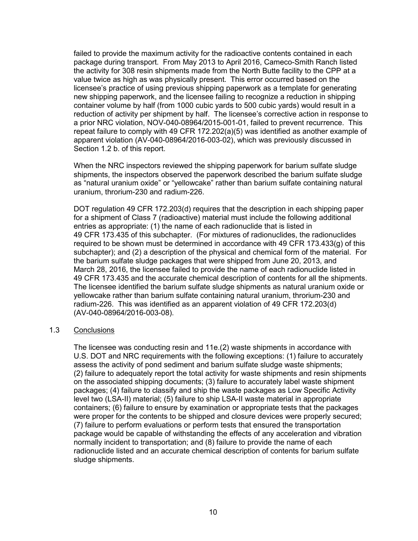failed to provide the maximum activity for the radioactive contents contained in each package during transport. From May 2013 to April 2016, Cameco-Smith Ranch listed the activity for 308 resin shipments made from the North Butte facility to the CPP at a value twice as high as was physically present. This error occurred based on the licensee's practice of using previous shipping paperwork as a template for generating new shipping paperwork, and the licensee failing to recognize a reduction in shipping container volume by half (from 1000 cubic yards to 500 cubic yards) would result in a reduction of activity per shipment by half. The licensee's corrective action in response to a prior NRC violation, NOV-040-08964/2015-001-01, failed to prevent recurrence. This repeat failure to comply with 49 CFR 172.202(a)(5) was identified as another example of apparent violation (AV-040-08964/2016-003-02), which was previously discussed in Section 1.2 b. of this report.

When the NRC inspectors reviewed the shipping paperwork for barium sulfate sludge shipments, the inspectors observed the paperwork described the barium sulfate sludge as "natural uranium oxide" or "yellowcake" rather than barium sulfate containing natural uranium, throrium-230 and radium-226.

DOT regulation 49 CFR 172.203(d) requires that the description in each shipping paper for a shipment of Class 7 (radioactive) material must include the following additional entries as appropriate: (1) the name of each radionuclide that is listed in 49 CFR 173.435 of this subchapter. (For mixtures of radionuclides, the radionuclides required to be shown must be determined in accordance with 49 CFR 173.433(g) of this subchapter); and (2) a description of the physical and chemical form of the material. For the barium sulfate sludge packages that were shipped from June 20, 2013, and March 28, 2016, the licensee failed to provide the name of each radionuclide listed in 49 CFR 173.435 and the accurate chemical description of contents for all the shipments. The licensee identified the barium sulfate sludge shipments as natural uranium oxide or yellowcake rather than barium sulfate containing natural uranium, throrium-230 and radium-226. This was identified as an apparent violation of 49 CFR 172.203(d) (AV-040-08964/2016-003-08).

#### 1.3 Conclusions

The licensee was conducting resin and 11e.(2) waste shipments in accordance with U.S. DOT and NRC requirements with the following exceptions: (1) failure to accurately assess the activity of pond sediment and barium sulfate sludge waste shipments; (2) failure to adequately report the total activity for waste shipments and resin shipments on the associated shipping documents; (3) failure to accurately label waste shipment packages; (4) failure to classify and ship the waste packages as Low Specific Activity level two (LSA-II) material; (5) failure to ship LSA-II waste material in appropriate containers; (6) failure to ensure by examination or appropriate tests that the packages were proper for the contents to be shipped and closure devices were properly secured; (7) failure to perform evaluations or perform tests that ensured the transportation package would be capable of withstanding the effects of any acceleration and vibration normally incident to transportation; and (8) failure to provide the name of each radionuclide listed and an accurate chemical description of contents for barium sulfate sludge shipments.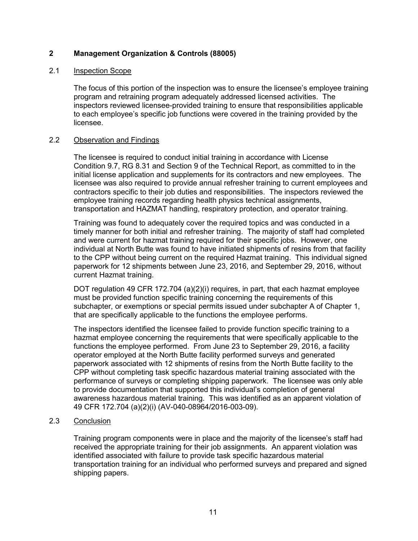### **2 Management Organization & Controls (88005)**

### 2.1 Inspection Scope

The focus of this portion of the inspection was to ensure the licensee's employee training program and retraining program adequately addressed licensed activities. The inspectors reviewed licensee-provided training to ensure that responsibilities applicable to each employee's specific job functions were covered in the training provided by the licensee.

### 2.2 Observation and Findings

The licensee is required to conduct initial training in accordance with License Condition 9.7, RG 8.31 and Section 9 of the Technical Report, as committed to in the initial license application and supplements for its contractors and new employees. The licensee was also required to provide annual refresher training to current employees and contractors specific to their job duties and responsibilities. The inspectors reviewed the employee training records regarding health physics technical assignments, transportation and HAZMAT handling, respiratory protection, and operator training.

Training was found to adequately cover the required topics and was conducted in a timely manner for both initial and refresher training. The majority of staff had completed and were current for hazmat training required for their specific jobs. However, one individual at North Butte was found to have initiated shipments of resins from that facility to the CPP without being current on the required Hazmat training. This individual signed paperwork for 12 shipments between June 23, 2016, and September 29, 2016, without current Hazmat training.

DOT regulation 49 CFR 172.704 (a)(2)(i) requires, in part, that each hazmat employee must be provided function specific training concerning the requirements of this subchapter, or exemptions or special permits issued under subchapter A of Chapter 1, that are specifically applicable to the functions the employee performs.

The inspectors identified the licensee failed to provide function specific training to a hazmat employee concerning the requirements that were specifically applicable to the functions the employee performed. From June 23 to September 29, 2016, a facility operator employed at the North Butte facility performed surveys and generated paperwork associated with 12 shipments of resins from the North Butte facility to the CPP without completing task specific hazardous material training associated with the performance of surveys or completing shipping paperwork. The licensee was only able to provide documentation that supported this individual's completion of general awareness hazardous material training. This was identified as an apparent violation of 49 CFR 172.704 (a)(2)(i) (AV-040-08964/2016-003-09).

### 2.3 Conclusion

Training program components were in place and the majority of the licensee's staff had received the appropriate training for their job assignments. An apparent violation was identified associated with failure to provide task specific hazardous material transportation training for an individual who performed surveys and prepared and signed shipping papers.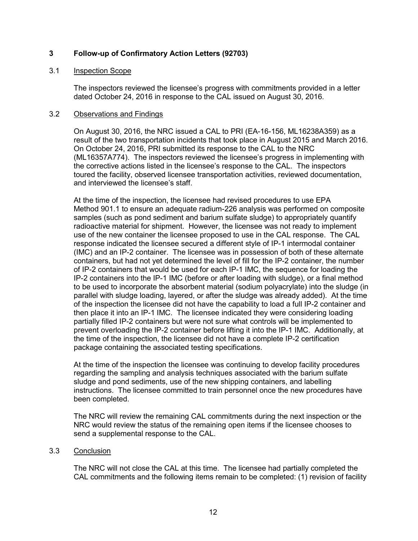### **3 Follow-up of Confirmatory Action Letters (92703)**

### 3.1 Inspection Scope

The inspectors reviewed the licensee's progress with commitments provided in a letter dated October 24, 2016 in response to the CAL issued on August 30, 2016.

#### 3.2 Observations and Findings

On August 30, 2016, the NRC issued a CAL to PRI (EA-16-156, ML16238A359) as a result of the two transportation incidents that took place in August 2015 and March 2016. On October 24, 2016, PRI submitted its response to the CAL to the NRC (ML16357A774). The inspectors reviewed the licensee's progress in implementing with the corrective actions listed in the licensee's response to the CAL. The inspectors toured the facility, observed licensee transportation activities, reviewed documentation, and interviewed the licensee's staff.

At the time of the inspection, the licensee had revised procedures to use EPA Method 901.1 to ensure an adequate radium-226 analysis was performed on composite samples (such as pond sediment and barium sulfate sludge) to appropriately quantify radioactive material for shipment. However, the licensee was not ready to implement use of the new container the licensee proposed to use in the CAL response. The CAL response indicated the licensee secured a different style of IP-1 intermodal container (IMC) and an IP-2 container. The licensee was in possession of both of these alternate containers, but had not yet determined the level of fill for the IP-2 container, the number of IP-2 containers that would be used for each IP-1 IMC, the sequence for loading the IP-2 containers into the IP-1 IMC (before or after loading with sludge), or a final method to be used to incorporate the absorbent material (sodium polyacrylate) into the sludge (in parallel with sludge loading, layered, or after the sludge was already added). At the time of the inspection the licensee did not have the capability to load a full IP-2 container and then place it into an IP-1 IMC. The licensee indicated they were considering loading partially filled IP-2 containers but were not sure what controls will be implemented to prevent overloading the IP-2 container before lifting it into the IP-1 IMC. Additionally, at the time of the inspection, the licensee did not have a complete IP-2 certification package containing the associated testing specifications.

At the time of the inspection the licensee was continuing to develop facility procedures regarding the sampling and analysis techniques associated with the barium sulfate sludge and pond sediments, use of the new shipping containers, and labelling instructions. The licensee committed to train personnel once the new procedures have been completed.

The NRC will review the remaining CAL commitments during the next inspection or the NRC would review the status of the remaining open items if the licensee chooses to send a supplemental response to the CAL.

### 3.3 Conclusion

The NRC will not close the CAL at this time. The licensee had partially completed the CAL commitments and the following items remain to be completed: (1) revision of facility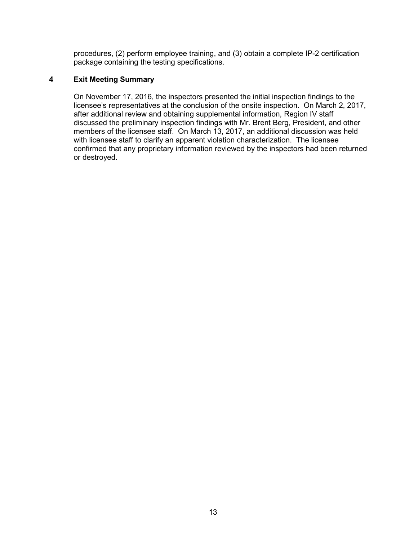procedures, (2) perform employee training, and (3) obtain a complete IP-2 certification package containing the testing specifications.

### **4 Exit Meeting Summary**

On November 17, 2016, the inspectors presented the initial inspection findings to the licensee's representatives at the conclusion of the onsite inspection. On March 2, 2017, after additional review and obtaining supplemental information, Region IV staff discussed the preliminary inspection findings with Mr. Brent Berg, President, and other members of the licensee staff. On March 13, 2017, an additional discussion was held with licensee staff to clarify an apparent violation characterization. The licensee confirmed that any proprietary information reviewed by the inspectors had been returned or destroyed.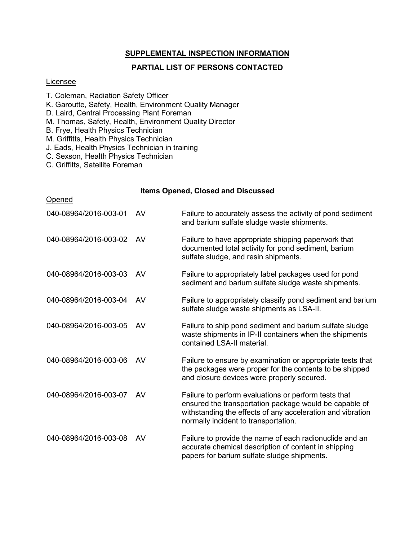### **SUPPLEMENTAL INSPECTION INFORMATION**

### **PARTIAL LIST OF PERSONS CONTACTED**

#### Licensee

- T. Coleman, Radiation Safety Officer
- K. Garoutte, Safety, Health, Environment Quality Manager
- D. Laird, Central Processing Plant Foreman
- M. Thomas, Safety, Health, Environment Quality Director
- B. Frye, Health Physics Technician
- M. Griffitts, Health Physics Technician
- J. Eads, Health Physics Technician in training
- C. Sexson, Health Physics Technician
- C. Griffitts, Satellite Foreman

#### **Items Opened, Closed and Discussed**

| Opened                |    |                                                                                                                                                                                                                      |
|-----------------------|----|----------------------------------------------------------------------------------------------------------------------------------------------------------------------------------------------------------------------|
| 040-08964/2016-003-01 | AV | Failure to accurately assess the activity of pond sediment<br>and barium sulfate sludge waste shipments.                                                                                                             |
| 040-08964/2016-003-02 | AV | Failure to have appropriate shipping paperwork that<br>documented total activity for pond sediment, barium<br>sulfate sludge, and resin shipments.                                                                   |
| 040-08964/2016-003-03 | AV | Failure to appropriately label packages used for pond<br>sediment and barium sulfate sludge waste shipments.                                                                                                         |
| 040-08964/2016-003-04 | AV | Failure to appropriately classify pond sediment and barium<br>sulfate sludge waste shipments as LSA-II.                                                                                                              |
| 040-08964/2016-003-05 | AV | Failure to ship pond sediment and barium sulfate sludge<br>waste shipments in IP-II containers when the shipments<br>contained LSA-II material.                                                                      |
| 040-08964/2016-003-06 | AV | Failure to ensure by examination or appropriate tests that<br>the packages were proper for the contents to be shipped<br>and closure devices were properly secured.                                                  |
| 040-08964/2016-003-07 | AV | Failure to perform evaluations or perform tests that<br>ensured the transportation package would be capable of<br>withstanding the effects of any acceleration and vibration<br>normally incident to transportation. |
| 040-08964/2016-003-08 | AV | Failure to provide the name of each radionuclide and an<br>accurate chemical description of content in shipping<br>papers for barium sulfate sludge shipments.                                                       |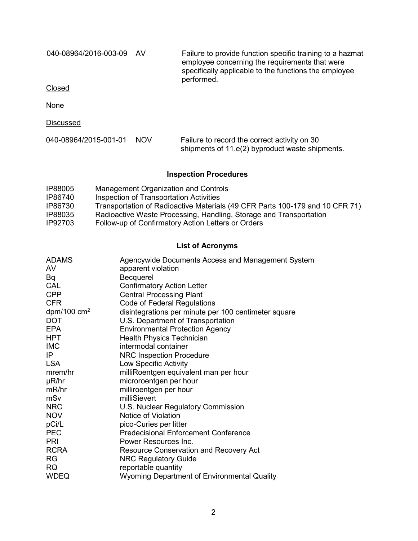040-08964/2016-003-09 AV Failure to provide function specific training to a hazmat employee concerning the requirements that were specifically applicable to the functions the employee performed.

Closed

None

**Discussed** 

| 040-08964/2015-001-01 NOV | Failure to record the correct activity on 30    |  |  |
|---------------------------|-------------------------------------------------|--|--|
|                           | shipments of 11.e(2) byproduct waste shipments. |  |  |

## **Inspection Procedures**

| IP88005 | Management Organization and Controls                                         |
|---------|------------------------------------------------------------------------------|
| IP86740 | Inspection of Transportation Activities                                      |
| IP86730 | Transportation of Radioactive Materials (49 CFR Parts 100-179 and 10 CFR 71) |
| IP88035 | Radioactive Waste Processing, Handling, Storage and Transportation           |
| IP92703 | Follow-up of Confirmatory Action Letters or Orders                           |

### **List of Acronyms**

| <b>ADAMS</b>          | Agencywide Documents Access and Management System    |
|-----------------------|------------------------------------------------------|
| AV                    | apparent violation                                   |
| Bq                    | Becquerel                                            |
| CAL                   | <b>Confirmatory Action Letter</b>                    |
| <b>CPP</b>            | <b>Central Processing Plant</b>                      |
| <b>CFR</b>            | Code of Federal Regulations                          |
| dpm/100 $\text{cm}^2$ | disintegrations per minute per 100 centimeter square |
| <b>DOT</b>            | U.S. Department of Transportation                    |
| <b>EPA</b>            | <b>Environmental Protection Agency</b>               |
| <b>HPT</b>            | <b>Health Physics Technician</b>                     |
| <b>IMC</b>            | intermodal container                                 |
| IP                    | <b>NRC Inspection Procedure</b>                      |
| <b>LSA</b>            | Low Specific Activity                                |
| mrem/hr               | milliRoentgen equivalent man per hour                |
| $\mu$ R/hr            | microroentgen per hour                               |
| mR/hr                 | milliroentgen per hour                               |
| mSv                   | milliSievert                                         |
| <b>NRC</b>            | U.S. Nuclear Regulatory Commission                   |
| <b>NOV</b>            | Notice of Violation                                  |
| pCi/L                 | pico-Curies per litter                               |
| <b>PEC</b>            | <b>Predecisional Enforcement Conference</b>          |
| <b>PRI</b>            | Power Resources Inc.                                 |
| <b>RCRA</b>           | Resource Conservation and Recovery Act               |
| <b>RG</b>             | <b>NRC Regulatory Guide</b>                          |
| <b>RQ</b>             | reportable quantity                                  |
| <b>WDEQ</b>           | Wyoming Department of Environmental Quality          |
|                       |                                                      |